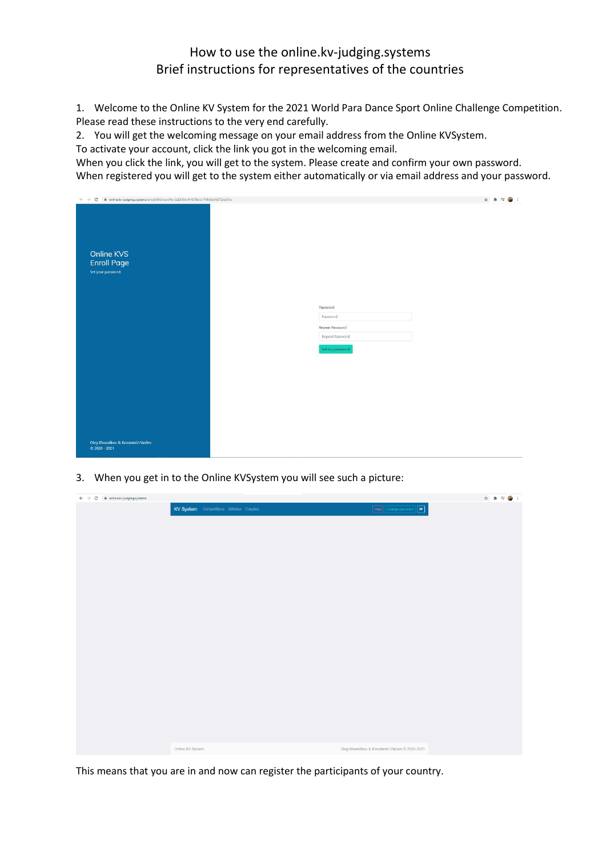## How to use the online.kv-judging.systems Brief instructions for representatives of the countries

1. Welcome to the Online KV System for the 2021 World Para Dance Sport Online Challenge Competition. Please read these instructions to the very end carefully.

2. You will get the welcoming message on your email address from the Online KVSystem.

To activate your account, click the link you got in the welcoming email.

When you click the link, you will get to the system. Please create and confirm your own password. When registered you will get to the system either automatically or via email address and your password.

| $\leftarrow$ $\rightarrow$ $\mathbf{C}$ $\blacksquare$ and ine.kv-judging.systems/enroll/8h5nuJcNly-5zDD8AJYH8TBuUx7FJhb0oN0TZwiS7xx |                                                                               | ☆ ★ 可● : |
|--------------------------------------------------------------------------------------------------------------------------------------|-------------------------------------------------------------------------------|----------|
| Online KVS<br><b>Enroll Page</b><br>Set your password.                                                                               |                                                                               |          |
|                                                                                                                                      | Password<br>Password<br>Repeat Password<br>Repeat Password<br>Set my password |          |
|                                                                                                                                      |                                                                               |          |
| Oleg Khvostikov & Konstantin Vasilev<br>C 2020 - 2021                                                                                |                                                                               |          |

3. When you get in to the Online KVSystem you will see such a picture:

| $\leftarrow$ $\rightarrow$ C $\acute{a}$ online.kv-judging.systems |                                         |                                                                                                                   |
|--------------------------------------------------------------------|-----------------------------------------|-------------------------------------------------------------------------------------------------------------------|
|                                                                    | KV System Competitions Athletes Couples | $\boxed{\text{Help}} \begin{bmatrix} \text{Change password} \end{bmatrix} \begin{bmatrix} \text{O} \end{bmatrix}$ |
|                                                                    |                                         |                                                                                                                   |
|                                                                    |                                         |                                                                                                                   |
|                                                                    |                                         |                                                                                                                   |
|                                                                    |                                         |                                                                                                                   |
|                                                                    |                                         |                                                                                                                   |
|                                                                    |                                         |                                                                                                                   |
|                                                                    |                                         |                                                                                                                   |
|                                                                    |                                         |                                                                                                                   |
|                                                                    |                                         |                                                                                                                   |
|                                                                    |                                         |                                                                                                                   |
|                                                                    |                                         |                                                                                                                   |
|                                                                    |                                         |                                                                                                                   |
|                                                                    |                                         |                                                                                                                   |
|                                                                    |                                         |                                                                                                                   |
|                                                                    |                                         |                                                                                                                   |
|                                                                    |                                         |                                                                                                                   |
|                                                                    |                                         |                                                                                                                   |
|                                                                    |                                         |                                                                                                                   |
|                                                                    |                                         |                                                                                                                   |
|                                                                    |                                         |                                                                                                                   |
|                                                                    |                                         |                                                                                                                   |
|                                                                    |                                         |                                                                                                                   |
|                                                                    |                                         |                                                                                                                   |
|                                                                    |                                         |                                                                                                                   |
|                                                                    |                                         |                                                                                                                   |
|                                                                    | Online KV System                        | Oleg Khvostikov & Konstantin Vasilev © 2020-2021                                                                  |

This means that you are in and now can register the participants of your country.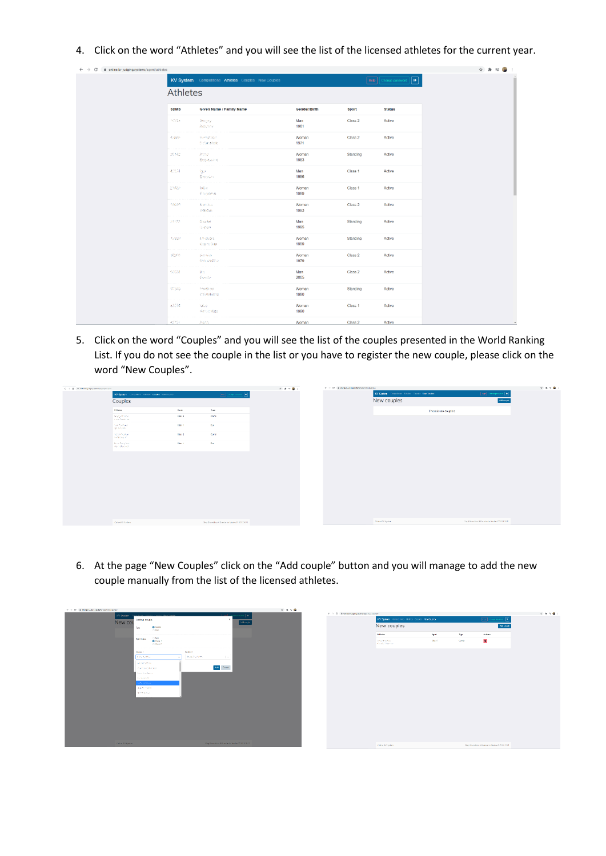4. Click on the word "Athletes" and you will see the list of the licensed athletes for the current year.

| $\leftarrow$ $\rightarrow$ C<br>@ online.kv-judging.systems/agent/athletes |                        |                                                     |               |                    |                        | ☆ ★ ヨ ● | $\ddot{\ddot{\cdot}}$ |
|----------------------------------------------------------------------------|------------------------|-----------------------------------------------------|---------------|--------------------|------------------------|---------|-----------------------|
|                                                                            | Athletes               | KV System Competitions Athletes Couples New Couples |               |                    | Help Change password 0 |         | Ĥ                     |
|                                                                            | <b>SDMS</b>            | <b>Given Name / Family Name</b>                     | Gender/Birth  | Sport              | <b>Status</b>          |         |                       |
|                                                                            | $10^{10}$ $\mu$ $\sim$ | Sergery<br>Automak                                  | Man<br>1981   | Class 2            | Active                 |         |                       |
|                                                                            | 4557                   | sterezhin.<br>CeSmakelo                             | Woman<br>1971 | Class <sub>2</sub> | Active                 |         |                       |
|                                                                            | 实时能                    | Palau<br>Seguyakan                                  | Woman<br>1983 | Standing           | Active                 |         |                       |
|                                                                            | 42504                  | <b>Space</b><br>Deplydate                           | Man<br>1986   | Class 1            | Active                 |         |                       |
|                                                                            | 27852                  | <b>RESE</b><br><b>Converted</b>                     | Woman<br>1989 | Class 1            | Active                 |         |                       |
|                                                                            | 18820                  | Napolita<br>Geneva                                  | Woman<br>1993 | Class 2            | Active                 |         |                       |
|                                                                            | 54122                  | <b>Nischer</b><br>(Licen)                           | Man<br>1995   | Standing           | Active                 |         |                       |
|                                                                            | 4559                   | Etholiota -<br>Geignbang                            | Woman<br>1999 | Standing           | Active                 |         |                       |
|                                                                            | 16280                  | plentylen.<br>Consphered                            | Woman<br>1979 | Class 2            | Active                 |         |                       |
|                                                                            | 10604                  | 10s<br>Geargi                                       | Man<br>2005   | Class 2            | Active                 |         |                       |
|                                                                            | 70340                  | STRINGS<br>Kateristicma.                            | Woman<br>1980 | Standing           | Active                 |         |                       |
|                                                                            | $-0.3334$              | <b>USAS</b><br><b>Kenschland</b>                    | Woman<br>1990 | Class 1            | Active                 |         |                       |
|                                                                            | 43727                  | Asset                                               | Woman         | Class 2            | Active                 |         | $\check{}$            |

5. Click on the word "Couples" and you will see the list of the couples presented in the World Ranking List. If you do not see the couple in the list or you have to register the new couple, please click on the word "New Couples".

| $\leftarrow$ $\rightarrow$ $\left<$ $\uparrow$ $\right $ at relativistic experimental experiments. |                                                   |                      |                                                                       | $\mathbf{x} \times \mathbf{x} \times \mathbf{0} +$ | $\psi \rightarrow 0$ is ontallo-company temperature (incoherence |                                                   |                     |                                                                                             | $\mathcal{R} \Rightarrow \mathcal{R} \Rightarrow \mathbf{Q} \Rightarrow \mathbf{Q} \Rightarrow \mathbf{Q} \Rightarrow \mathbf{Q} \Rightarrow \mathbf{Q} \Rightarrow \mathbf{Q} \Rightarrow \mathbf{Q} \Rightarrow \mathbf{Q} \Rightarrow \mathbf{Q} \Rightarrow \mathbf{Q} \Rightarrow \mathbf{Q} \Rightarrow \mathbf{Q} \Rightarrow \mathbf{Q} \Rightarrow \mathbf{Q} \Rightarrow \mathbf{Q} \Rightarrow \mathbf{Q} \Rightarrow \mathbf{Q} \Rightarrow \mathbf{Q} \Rightarrow \mathbf{Q} \Rightarrow \mathbf{Q} \Rightarrow \mathbf{Q} \Rightarrow \mathbf{Q} \Rightarrow \mathbf{Q} \Rightarrow \mathbf{Q} \Rightarrow \mathbf{Q} \Rightarrow \mathbf{$ |
|----------------------------------------------------------------------------------------------------|---------------------------------------------------|----------------------|-----------------------------------------------------------------------|----------------------------------------------------|------------------------------------------------------------------|---------------------------------------------------|---------------------|---------------------------------------------------------------------------------------------|-----------------------------------------------------------------------------------------------------------------------------------------------------------------------------------------------------------------------------------------------------------------------------------------------------------------------------------------------------------------------------------------------------------------------------------------------------------------------------------------------------------------------------------------------------------------------------------------------------------------------------------------------------------|
|                                                                                                    | KV System Consistent Attition Couples New Couples |                      | $\boxed{\text{min}}\left[\text{range process}\right]\boxed{\text{0}}$ |                                                    |                                                                  | KV System Corpolices: Alleber Corplex New Corplex |                     | $\left\Vert \log\right\Vert$ (interaction $\left\Vert \left. \mathbf{B}\right. \right\Vert$ |                                                                                                                                                                                                                                                                                                                                                                                                                                                                                                                                                                                                                                                           |
|                                                                                                    | Couples                                           |                      |                                                                       |                                                    |                                                                  | New couples                                       |                     | Add couple                                                                                  |                                                                                                                                                                                                                                                                                                                                                                                                                                                                                                                                                                                                                                                           |
|                                                                                                    | African                                           | <b>Type</b><br>Sport |                                                                       |                                                    |                                                                  |                                                   | There is no couples |                                                                                             |                                                                                                                                                                                                                                                                                                                                                                                                                                                                                                                                                                                                                                                           |
|                                                                                                    | <b>Several Store</b><br>instructional and         | Class 2<br>Combi     |                                                                       |                                                    |                                                                  |                                                   |                     |                                                                                             |                                                                                                                                                                                                                                                                                                                                                                                                                                                                                                                                                                                                                                                           |
|                                                                                                    | Northernes<br>Decisional                          | Class 1<br>Cuo       |                                                                       |                                                    |                                                                  |                                                   |                     |                                                                                             |                                                                                                                                                                                                                                                                                                                                                                                                                                                                                                                                                                                                                                                           |
|                                                                                                    | sensibilities.<br><b>Golden Street</b>            | Class 2<br>Combi     |                                                                       |                                                    |                                                                  |                                                   |                     |                                                                                             |                                                                                                                                                                                                                                                                                                                                                                                                                                                                                                                                                                                                                                                           |
|                                                                                                    | ImeZeretos<br>THE CONTRACT                        | Class 1<br>Cup       |                                                                       |                                                    |                                                                  |                                                   |                     |                                                                                             |                                                                                                                                                                                                                                                                                                                                                                                                                                                                                                                                                                                                                                                           |
|                                                                                                    |                                                   |                      |                                                                       |                                                    |                                                                  |                                                   |                     |                                                                                             |                                                                                                                                                                                                                                                                                                                                                                                                                                                                                                                                                                                                                                                           |
|                                                                                                    | Call on RV Saylers                                |                      | Died Khandikas & Koreberini Verleg G 2020-2021                        |                                                    |                                                                  | Drive IV Sydney                                   |                     | This Photo Roy & Kansler In Stecher R 2020 2121                                             |                                                                                                                                                                                                                                                                                                                                                                                                                                                                                                                                                                                                                                                           |

6. At the page "New Couples" click on the "Add couple" button and you will manage to add the new couple manually from the list of the licensed athletes.

| $\psi \rightarrow -0$ . It criteriously respectively enhancement |                                                     |                                                   | $\mathbf{u} \cdot \mathbf{a} = \mathbf{0} + \mathbf{0}$<br>$\Phi \to \mathbf{G}$ , a substrate polynomial synthesis policy |                                                     |       |       |                                                 | $\begin{array}{ccccccccccccc} \alpha & \mathbf{a} & \mathbf{v} & \mathbf{q} & \mathbf{c} \end{array}$ |
|------------------------------------------------------------------|-----------------------------------------------------|---------------------------------------------------|----------------------------------------------------------------------------------------------------------------------------|-----------------------------------------------------|-------|-------|-------------------------------------------------|-------------------------------------------------------------------------------------------------------|
|                                                                  | KV System<br>Adding couple                          |                                                   |                                                                                                                            | KV System Competitions Athletes Couples New Couples |       |       | 叵<br><b>THE ORIGINAL</b>                        |                                                                                                       |
|                                                                  | New cou<br>O Genti<br>Tipo<br>O Day                 | dd couch                                          |                                                                                                                            | New couples                                         |       |       | Monge                                           |                                                                                                       |
|                                                                  |                                                     |                                                   |                                                                                                                            | Addition                                            | dport | Type  | Actions                                         |                                                                                                       |
|                                                                  | $O$ NA<br>_<br>Sport Class<br>O ISSN 3<br>$O$ Gos 2 |                                                   |                                                                                                                            | <b>Distances</b><br>Conduct Manager                 | Gos 1 | Conte | $\mathbf{r}$                                    |                                                                                                       |
|                                                                  | Attince I                                           | Attack 2                                          |                                                                                                                            |                                                     |       |       |                                                 |                                                                                                       |
|                                                                  | <b>Infallection</b><br>$\sim$                       | development.<br>$\sim$                            |                                                                                                                            |                                                     |       |       |                                                 |                                                                                                       |
|                                                                  | Department                                          |                                                   |                                                                                                                            |                                                     |       |       |                                                 |                                                                                                       |
|                                                                  | <b>INVESTIGATION</b><br><b>Bendington</b>           | $\mathbf{AdS} = \mathbf{G} \mathbf{m} \mathbf{m}$ |                                                                                                                            |                                                     |       |       |                                                 |                                                                                                       |
|                                                                  | Society's                                           |                                                   |                                                                                                                            |                                                     |       |       |                                                 |                                                                                                       |
|                                                                  | <b>RADERAC</b>                                      |                                                   |                                                                                                                            |                                                     |       |       |                                                 |                                                                                                       |
|                                                                  | David Health                                        |                                                   |                                                                                                                            |                                                     |       |       |                                                 |                                                                                                       |
|                                                                  | <b>TEMPESTER</b>                                    |                                                   |                                                                                                                            |                                                     |       |       |                                                 |                                                                                                       |
|                                                                  |                                                     |                                                   |                                                                                                                            |                                                     |       |       |                                                 |                                                                                                       |
|                                                                  |                                                     |                                                   |                                                                                                                            |                                                     |       |       |                                                 |                                                                                                       |
|                                                                  |                                                     |                                                   |                                                                                                                            |                                                     |       |       |                                                 |                                                                                                       |
|                                                                  |                                                     |                                                   |                                                                                                                            |                                                     |       |       |                                                 |                                                                                                       |
|                                                                  |                                                     |                                                   |                                                                                                                            |                                                     |       |       |                                                 |                                                                                                       |
|                                                                  |                                                     |                                                   |                                                                                                                            |                                                     |       |       |                                                 |                                                                                                       |
|                                                                  |                                                     |                                                   |                                                                                                                            |                                                     |       |       |                                                 |                                                                                                       |
|                                                                  | Области Яронии                                      | Chip (Chandriew & Hamshelm Vacino St 2018-2021)   |                                                                                                                            | Crane Kellipders                                    |       |       | They Knocklass & Transactic Vedex (5 2008 2051) |                                                                                                       |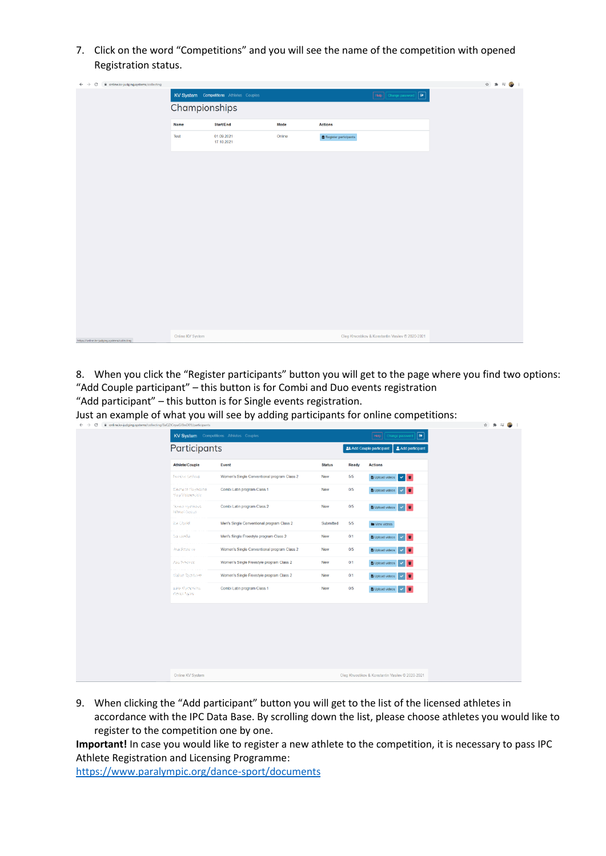7. Click on the word "Competitions" and you will see the name of the competition with opened Registration status.

| $\leftarrow$ $\rightarrow$ $\mathbf{C}$ $\parallel$ is online.kv-judging.systems/collecting |                  |                                         |        |                       |                                                  | ☆ ★ 可● : |
|---------------------------------------------------------------------------------------------|------------------|-----------------------------------------|--------|-----------------------|--------------------------------------------------|----------|
|                                                                                             |                  | KV System Competitions Athletes Couples |        |                       | Help Change password   B                         |          |
|                                                                                             | Championships    |                                         |        |                       |                                                  |          |
|                                                                                             | Name             | Start/End                               | Mode   | <b>Actions</b>        |                                                  |          |
|                                                                                             | Test             | 01.09.2021<br>17.10.2021                | Online | Register participants |                                                  |          |
|                                                                                             |                  |                                         |        |                       |                                                  |          |
|                                                                                             |                  |                                         |        |                       |                                                  |          |
|                                                                                             |                  |                                         |        |                       |                                                  |          |
|                                                                                             |                  |                                         |        |                       |                                                  |          |
|                                                                                             |                  |                                         |        |                       |                                                  |          |
|                                                                                             |                  |                                         |        |                       |                                                  |          |
|                                                                                             |                  |                                         |        |                       |                                                  |          |
|                                                                                             |                  |                                         |        |                       |                                                  |          |
|                                                                                             |                  |                                         |        |                       |                                                  |          |
|                                                                                             |                  |                                         |        |                       |                                                  |          |
|                                                                                             |                  |                                         |        |                       |                                                  |          |
| https://online.kv-judging.systems/collecting                                                | Online KV System |                                         |        |                       | Oleg Khvostikov & Konstantin Vasilev © 2020-2021 |          |

8. When you click the "Register participants" button you will get to the page where you find two options: "Add Couple participant" – this button is for Combi and Duo events registration "Add participant" – this button is for Single events registration.

Just an example of what you will see by adding participants for online competitions:

| $\leftarrow$ $\rightarrow$ C<br>nine.kv-judging.systems/collecting/BaQZtCrywGJ8nxD89/participants |                                                  |                                             |               |       |                                                     | ☆ ★ ヨ● : |  |
|---------------------------------------------------------------------------------------------------|--------------------------------------------------|---------------------------------------------|---------------|-------|-----------------------------------------------------|----------|--|
|                                                                                                   |                                                  | KV System Competitions Athletes Couples     |               |       | Help Change password [ Co                           |          |  |
|                                                                                                   | Participants                                     |                                             |               |       | <b>21 Add Couple participant</b><br>Add participant |          |  |
|                                                                                                   | <b>Athlete/Couple</b>                            | Event                                       | <b>Status</b> | Ready | <b>Actions</b>                                      |          |  |
|                                                                                                   | Norshe Galleya                                   | Women's Single Conventional program Class 2 | New           | 5/5   | <b>B</b> Upload videos v                            |          |  |
|                                                                                                   | Electrical Gayantical<br><b>They Visianowide</b> | Combi Latin program Class 1                 | New           | 0/5   | <b>B</b> Upload videos v                            |          |  |
|                                                                                                   | Gentin sey trilubils.<br>Money Green             | Combi Latin program Class 2                 | New           | 0/5   | <b>B</b> Upload videos v                            |          |  |
|                                                                                                   | Sia Clocke                                       | Men's Single Conventional program Class 2   | Submitted     | 5/5   | <b>In</b> View videos                               |          |  |
|                                                                                                   | Service Co.                                      | Men's Single Freestyle program Class 2      | New           | 0/1   | <b>B</b> Upload videos<br>$\times$ F                |          |  |
|                                                                                                   | Alsa Smeinstei                                   | Women's Single Conventional program Class 2 | <b>New</b>    | 0/5   | <b>B</b> Upload videos V                            |          |  |
|                                                                                                   | Alice Simplines                                  | Women's Single Freestyle program Class 2    | New           | 0/1   | <b>B</b> Upload videos v                            |          |  |
|                                                                                                   | Galler Totalborn                                 | Women's Single Freestyle program Class 2    | New           | 0/1   | ■ Upload videos √ ■                                 |          |  |
|                                                                                                   | paile Rurechillers.<br>TROBA SILLY               | Combi Latin program Class 1                 | New           | 0/5   | <b>B</b> Upload videos v                            |          |  |
|                                                                                                   |                                                  |                                             |               |       |                                                     |          |  |
|                                                                                                   |                                                  |                                             |               |       |                                                     |          |  |
|                                                                                                   |                                                  |                                             |               |       |                                                     |          |  |
|                                                                                                   |                                                  |                                             |               |       |                                                     |          |  |
|                                                                                                   | Online KV System                                 |                                             |               |       | Oleg Khvostikov & Konstantin Vasilev © 2020-2021    |          |  |

9. When clicking the "Add participant" button you will get to the list of the licensed athletes in accordance with the IPC Data Base. By scrolling down the list, please choose athletes you would like to register to the competition one by one.

**Important!** In case you would like to register a new athlete to the competition, it is necessary to pass IPC Athlete Registration and Licensing Programme:

<https://www.paralympic.org/dance-sport/documents>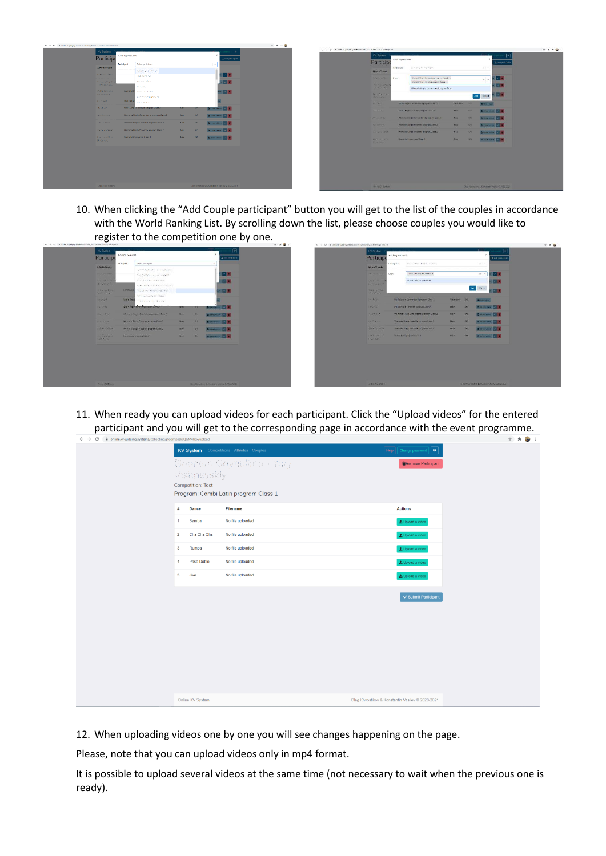

| KV System                                          |                |                                                                                              |                  |                  | 同                                             |
|----------------------------------------------------|----------------|----------------------------------------------------------------------------------------------|------------------|------------------|-----------------------------------------------|
| Participo                                          | Adding request |                                                                                              |                  |                  | $\boldsymbol{\varkappa}$<br>Andd part : point |
| <b>AdvisionDougle</b>                              | Metopan:       | At Artical Monical Car.                                                                      |                  |                  | 1.10                                          |
| <b>SHOW 1776</b>                                   | <b>Cycrit</b>  | Warranty Single Committee at property Chang 2, w<br>Vereins this principle alogram class 2 x |                  |                  | 12 F<br>$x -$                                 |
| <b>Printed Business Printed</b><br>Utility certain |                | Warner's Single Conventional program foes:                                                   |                  |                  | 123                                           |
| <b>DITTLING FINE</b><br>$20.47 - 24.4$             |                |                                                                                              |                  |                  | 82 E<br>Cancel<br>Add.                        |
| <b>DE REDUC</b>                                    |                | Man's Single Conventional program Class 2                                                    | <b>Supmitted</b> | -95              | <b>BOSSANISM</b>                              |
| ture to                                            |                | Mark Single Freestyle pagean Class 2                                                         | Now              | O1               | Billingson V B                                |
| <b>SPAINTING</b>                                   |                | When the Einster Europe Hand program Electron                                                | New              | O <sub>2</sub>   | <b>Bitten anne</b>                            |
| <b>FRIDAY</b>                                      |                | Women's target in constitutions and send 2.                                                  | <b>FACIV</b>     | $Q$ <sub>1</sub> | Boomson, V. E.                                |
| STRANGE ROOM                                       |                | Warren's Single Presents program Class 2                                                     | Nov.             | Q <sub>1</sub>   | Bitminne 2 1                                  |
| <b>DOWNERS</b><br><b>Carming</b>                   |                | Сина типлинова Омк т                                                                         | New.             | <b>CS</b>        | <b>Billion</b> V T                            |
|                                                    |                |                                                                                              |                  |                  |                                               |
| D'910 KW System                                    |                |                                                                                              |                  |                  | Origination & National Vestion Distance       |

10. When clicking the "Add Couple participant" button you will get to the list of the couples in accordance with the World Ranking List. By scrolling down the list, please choose couples you would like to register to the competition one by one.

| Participe                                                                                                                                                                                                    |                     |                                                 |              |             | <b>A</b> AM ISSUED OF      |  |  | <b>Particip</b>                              |                                              |                              |
|--------------------------------------------------------------------------------------------------------------------------------------------------------------------------------------------------------------|---------------------|-------------------------------------------------|--------------|-------------|----------------------------|--|--|----------------------------------------------|----------------------------------------------|------------------------------|
| AB lot Couple                                                                                                                                                                                                | Participant         | salect participant                              |              |             | $\frac{1}{2}$              |  |  | <b>Attiets Couple</b>                        | De liquer                                    | <b>Companies des Faunes</b>  |
| The anti- Tags                                                                                                                                                                                               |                     | an integration can become                       |              |             | 8 - El                     |  |  | <b>Networkbase</b>                           | tyest                                        | Contribute account Chara 2 a |
|                                                                                                                                                                                                              |                     | fridays as a primer                             |              |             |                            |  |  |                                              |                                              |                              |
| For self-con-<br><b>Baylor Man</b>                                                                                                                                                                           |                     | Mrs Symphies, de de Symp<br>SURFACES/PERSON/RWY |              |             | <b>BEE</b>                 |  |  | <b>State Countries</b><br><b>DESCRIPTION</b> |                                              | Darold Left's pungeon New    |
| <b>ARANGERSY</b>                                                                                                                                                                                             | Carry Later         | the article approval decided                    |              |             | 30 D D                     |  |  | <b>TOMORROW</b>                              |                                              |                              |
| <b>RAILWAY</b>                                                                                                                                                                                               |                     | Welchelburg Smith 450 kw                        |              |             |                            |  |  | <b>SANDAY</b>                                |                                              |                              |
| magazine                                                                                                                                                                                                     | <b>Moris Single</b> | was a more by discour-                          |              |             |                            |  |  | 32 W/D                                       | Aton's Single Consensation program Class 2   |                              |
| 1 steres                                                                                                                                                                                                     |                     | More Small Provided program Class 211           | <b>PESSI</b> | <b>ICIT</b> | <b>Distances C.R.</b>      |  |  | Trailer No.                                  | Mark Sepa Frankling opportunities 2          |                              |
| Contractor                                                                                                                                                                                                   |                     | Werner's Sangle Directories at program Those 2  | News         | 165         | Business 2 E               |  |  | August 20                                    | Wemen's Single Conventional program Class 2  |                              |
| <b>PERSON</b>                                                                                                                                                                                                |                     | Women's Single Prostpre program Class 2         | Now.         | C15         | <b>B</b> teations <b>C</b> |  |  | <b>PACTICALLY</b>                            | Warrent's Ningle Streetsbyle program Cross 9 |                              |
| <b>Carafancos</b>                                                                                                                                                                                            |                     | Woman's Single Proopte's program Class 2        | Now.         | C/E         | <b>BUMMATELLE 2 81</b>     |  |  | <b>SNATISTA</b>                              | Winter's Single Freestyk program Class 2     |                              |
| $\label{eq:2.1} \begin{aligned} \omega\left(1-\mathcal{L}\right)_{\mathcal{F}}\omega_{\mathcal{F}}^{\prime\prime}\left(\mathcal{E}\right)\mathcal{E}_{\mathcal{F}}^{\prime\prime} \end{aligned}$<br>THERE IS |                     | Corris Lein program Care 3                      | <b>Now</b>   | 105         | <b>BUSKASTANIAN DE ET</b>  |  |  | <b>I ASSESSMENT CO.</b><br>COL SHE           | Contribuing program Class 1                  |                              |

11. When ready you can upload videos for each participant. Click the "Upload videos" for the entered participant and you will get to the corresponding page in accordance with the event programme.

|                | - and the product of the context of the context of the context of the context of the context of the context of the context of the context of the context of the context of the context of the context of the context of the co |                                         |                                                   |  |
|----------------|--------------------------------------------------------------------------------------------------------------------------------------------------------------------------------------------------------------------------------|-----------------------------------------|---------------------------------------------------|--|
|                |                                                                                                                                                                                                                                | KV System Competitions Athletes Couples | Help   Change password<br>$\overline{\mathbb{R}}$ |  |
|                |                                                                                                                                                                                                                                | Ekspora Gaynullen - Yury                | Remove Participant                                |  |
|                | Vishneyskiy                                                                                                                                                                                                                    |                                         |                                                   |  |
|                | <b>Competition: Test</b>                                                                                                                                                                                                       |                                         |                                                   |  |
|                |                                                                                                                                                                                                                                | Program: Combi Latin program Class 1    |                                                   |  |
| #              | Dance                                                                                                                                                                                                                          | Filename                                | <b>Actions</b>                                    |  |
| 1              | Samba                                                                                                                                                                                                                          | No file uploaded                        | to Upload a video                                 |  |
| $\overline{2}$ | Cha Cha Cha                                                                                                                                                                                                                    | No file uploaded                        | L Upload a video                                  |  |
| 3              | Rumba                                                                                                                                                                                                                          | No file uploaded                        | L Upload a video                                  |  |
| $\overline{4}$ | Paso Doble                                                                                                                                                                                                                     | No file uploaded                        | L Upload a video                                  |  |
| 5              | Jive                                                                                                                                                                                                                           | No file uploaded                        | L Upload a video                                  |  |
|                |                                                                                                                                                                                                                                |                                         | ✔ Submit Participant                              |  |
|                |                                                                                                                                                                                                                                |                                         |                                                   |  |
|                |                                                                                                                                                                                                                                |                                         |                                                   |  |
|                |                                                                                                                                                                                                                                |                                         |                                                   |  |
|                |                                                                                                                                                                                                                                |                                         |                                                   |  |
|                |                                                                                                                                                                                                                                |                                         |                                                   |  |
|                |                                                                                                                                                                                                                                |                                         |                                                   |  |
|                |                                                                                                                                                                                                                                |                                         |                                                   |  |
|                |                                                                                                                                                                                                                                |                                         |                                                   |  |
|                | Online KV System                                                                                                                                                                                                               |                                         | Oleg Khvostikov & Konstantin Vasilev © 2020-2021  |  |

12. When uploading videos one by one you will see changes happening on the page.

Please, note that you can upload videos only in mp4 format.

It is possible to upload several videos at the same time (not necessary to wait when the previous one is ready).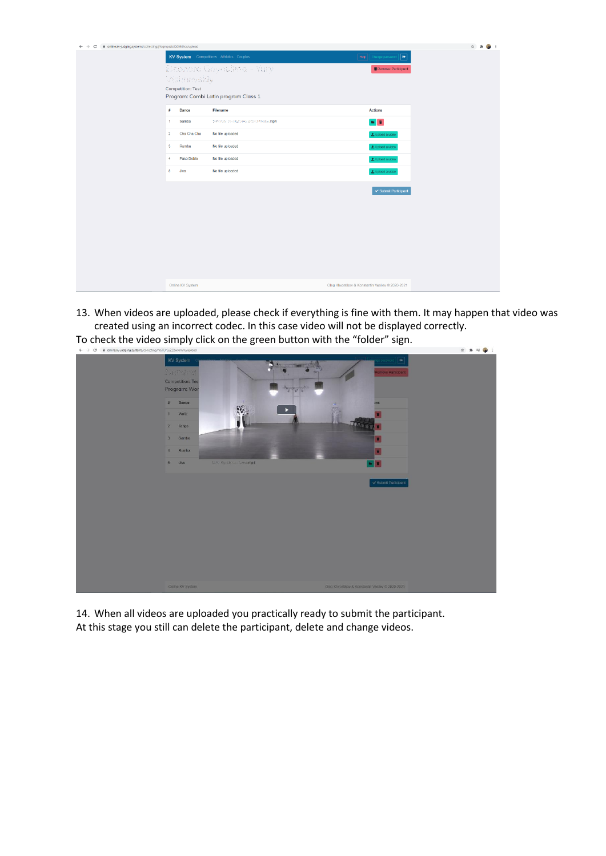| $\leftarrow$ $\rightarrow$ $\mathbf{C}$ a online.kv-judging.systems/collecting/jYoqmpszkJQGM4hcx/upload |                                                                 | ☆ 身                                                   |
|---------------------------------------------------------------------------------------------------------|-----------------------------------------------------------------|-------------------------------------------------------|
|                                                                                                         | KV System Competitions Athletes Couples                         | $\fbox{Heip}\quad{\rm Change\,password}\quad\fbox{G}$ |
|                                                                                                         | Electers Gaynuline - Yery                                       | Remove Participant                                    |
|                                                                                                         | Visianosidy                                                     |                                                       |
|                                                                                                         | <b>Competition: Test</b>                                        |                                                       |
|                                                                                                         | Program: Combi Latin program Class 1                            |                                                       |
|                                                                                                         | Dance<br>Filename<br>#                                          | <b>Actions</b>                                        |
|                                                                                                         | Samba<br>Selvedor Perryaci Mundozo Madroximp4<br>$\blacksquare$ | $\blacksquare$                                        |
|                                                                                                         | $\overline{2}$<br>Cha Cha Cha<br>No file uploaded               | L Upload a video                                      |
|                                                                                                         | Rumba<br>3<br>No file uploaded                                  | L Upload a video                                      |
|                                                                                                         | Paso Doble<br>No file uploaded<br>4                             | L Upload a video                                      |
|                                                                                                         | 5<br>No file uploaded<br>Jive                                   | Lipload a video                                       |
|                                                                                                         |                                                                 | ✔ Submit Participant                                  |
|                                                                                                         |                                                                 |                                                       |
|                                                                                                         |                                                                 |                                                       |
|                                                                                                         |                                                                 |                                                       |
|                                                                                                         |                                                                 |                                                       |
|                                                                                                         |                                                                 |                                                       |
|                                                                                                         |                                                                 |                                                       |
|                                                                                                         |                                                                 |                                                       |
|                                                                                                         |                                                                 |                                                       |
|                                                                                                         | Online KV System                                                | Oleg Khvostikov & Konstantin Vasilev © 2020-2021      |

13. When videos are uploaded, please check if everything is fine with them. It may happen that video was created using an incorrect codec. In this case video will not be displayed correctly.





14. When all videos are uploaded you practically ready to submit the participant. At this stage you still can delete the participant, delete and change videos.